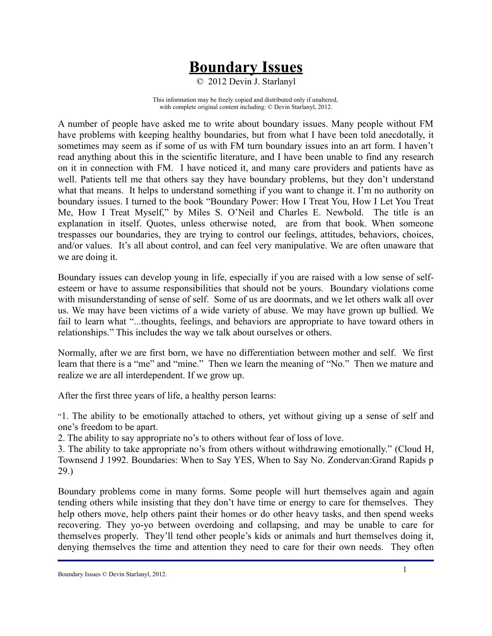## **Boundary Issues**

© 2012 Devin J. Starlanyl

This information may be freely copied and distributed only if unaltered, with complete original content including: © Devin Starlanyl, 2012.

A number of people have asked me to write about boundary issues. Many people without FM have problems with keeping healthy boundaries, but from what I have been told anecdotally, it sometimes may seem as if some of us with FM turn boundary issues into an art form. I haven't read anything about this in the scientific literature, and I have been unable to find any research on it in connection with FM. I have noticed it, and many care providers and patients have as well. Patients tell me that others say they have boundary problems, but they don't understand what that means. It helps to understand something if you want to change it. I'm no authority on boundary issues. I turned to the book "Boundary Power: How I Treat You, How I Let You Treat Me, How I Treat Myself," by Miles S. O'Neil and Charles E. Newbold. The title is an explanation in itself. Quotes, unless otherwise noted, are from that book. When someone trespasses our boundaries, they are trying to control our feelings, attitudes, behaviors, choices, and/or values. It's all about control, and can feel very manipulative. We are often unaware that we are doing it.

Boundary issues can develop young in life, especially if you are raised with a low sense of selfesteem or have to assume responsibilities that should not be yours. Boundary violations come with misunderstanding of sense of self. Some of us are doormats, and we let others walk all over us. We may have been victims of a wide variety of abuse. We may have grown up bullied. We fail to learn what "...thoughts, feelings, and behaviors are appropriate to have toward others in relationships." This includes the way we talk about ourselves or others.

Normally, after we are first born, we have no differentiation between mother and self. We first learn that there is a "me" and "mine." Then we learn the meaning of "No." Then we mature and realize we are all interdependent. If we grow up.

After the first three years of life, a healthy person learns:

"1. The ability to be emotionally attached to others, yet without giving up a sense of self and one's freedom to be apart.

2. The ability to say appropriate no's to others without fear of loss of love.

3. The ability to take appropriate no's from others without withdrawing emotionally." (Cloud H, Townsend J 1992. Boundaries: When to Say YES, When to Say No. Zondervan:Grand Rapids p 29.)

Boundary problems come in many forms. Some people will hurt themselves again and again tending others while insisting that they don't have time or energy to care for themselves. They help others move, help others paint their homes or do other heavy tasks, and then spend weeks recovering. They yo-yo between overdoing and collapsing, and may be unable to care for themselves properly. They'll tend other people's kids or animals and hurt themselves doing it, denying themselves the time and attention they need to care for their own needs. They often

Boundary Issues © Devin Starlanyl, 2012.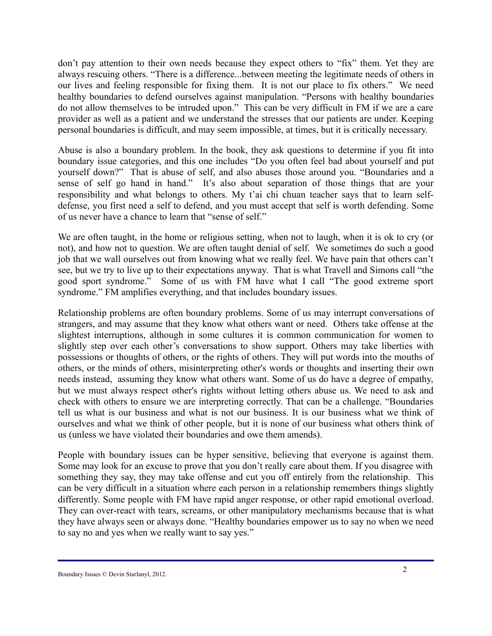don't pay attention to their own needs because they expect others to "fix" them. Yet they are always rescuing others. "There is a difference...between meeting the legitimate needs of others in our lives and feeling responsible for fixing them. It is not our place to fix others." We need healthy boundaries to defend ourselves against manipulation. "Persons with healthy boundaries do not allow themselves to be intruded upon." This can be very difficult in FM if we are a care provider as well as a patient and we understand the stresses that our patients are under. Keeping personal boundaries is difficult, and may seem impossible, at times, but it is critically necessary.

Abuse is also a boundary problem. In the book, they ask questions to determine if you fit into boundary issue categories, and this one includes "Do you often feel bad about yourself and put yourself down?" That is abuse of self, and also abuses those around you. "Boundaries and a sense of self go hand in hand." It's also about separation of those things that are your responsibility and what belongs to others. My t'ai chi chuan teacher says that to learn selfdefense, you first need a self to defend, and you must accept that self is worth defending. Some of us never have a chance to learn that "sense of self."

We are often taught, in the home or religious setting, when not to laugh, when it is ok to cry (or not), and how not to question. We are often taught denial of self. We sometimes do such a good job that we wall ourselves out from knowing what we really feel. We have pain that others can't see, but we try to live up to their expectations anyway. That is what Travell and Simons call "the good sport syndrome." Some of us with FM have what I call "The good extreme sport syndrome." FM amplifies everything, and that includes boundary issues.

Relationship problems are often boundary problems. Some of us may interrupt conversations of strangers, and may assume that they know what others want or need. Others take offense at the slightest interruptions, although in some cultures it is common communication for women to slightly step over each other's conversations to show support. Others may take liberties with possessions or thoughts of others, or the rights of others. They will put words into the mouths of others, or the minds of others, misinterpreting other's words or thoughts and inserting their own needs instead, assuming they know what others want. Some of us do have a degree of empathy, but we must always respect other's rights without letting others abuse us. We need to ask and check with others to ensure we are interpreting correctly. That can be a challenge. "Boundaries tell us what is our business and what is not our business. It is our business what we think of ourselves and what we think of other people, but it is none of our business what others think of us (unless we have violated their boundaries and owe them amends).

People with boundary issues can be hyper sensitive, believing that everyone is against them. Some may look for an excuse to prove that you don't really care about them. If you disagree with something they say, they may take offense and cut you off entirely from the relationship. This can be very difficult in a situation where each person in a relationship remembers things slightly differently. Some people with FM have rapid anger response, or other rapid emotional overload. They can over-react with tears, screams, or other manipulatory mechanisms because that is what they have always seen or always done. "Healthy boundaries empower us to say no when we need to say no and yes when we really want to say yes."